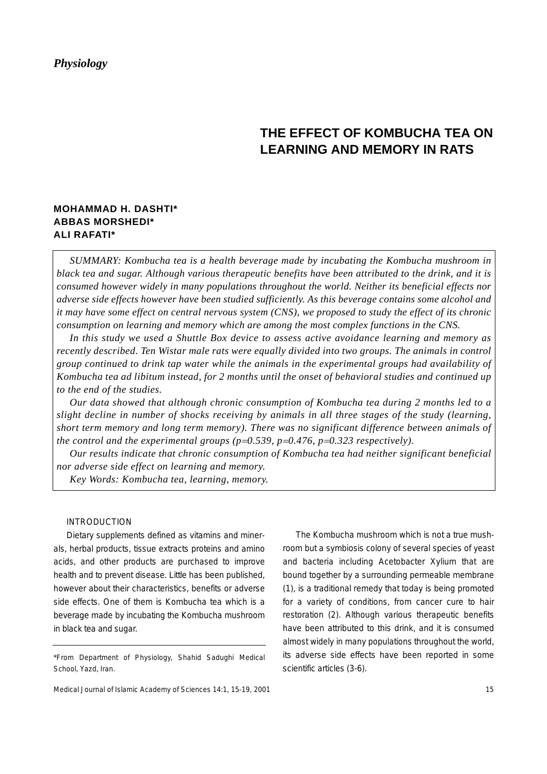# **THE EFFECT OF KOMBUCHA TEA ON LEARNING AND MEMORY IN RATS**

# **MOHAMMAD H. DASHTI\* ABBAS MORSHEDI\* ALI RAFATI\***

*SUMMARY: Kombucha tea is a health beverage made by incubating the Kombucha mushroom in black tea and sugar. Although various therapeutic benefits have been attributed to the drink, and it is consumed however widely in many populations throughout the world. Neither its beneficial effects nor adverse side effects however have been studied sufficiently. As this beverage contains some alcohol and it may have some effect on central nervous system (CNS), we proposed to study the effect of its chronic consumption on learning and memory which are among the most complex functions in the CNS.*

*In this study we used a Shuttle Box device to assess active avoidance learning and memory as recently described. Ten Wistar male rats were equally divided into two groups. The animals in control group continued to drink tap water while the animals in the experimental groups had availability of Kombucha tea ad libitum instead, for 2 months until the onset of behavioral studies and continued up to the end of the studies.*

*Our data showed that although chronic consumption of Kombucha tea during 2 months led to a slight decline in number of shocks receiving by animals in all three stages of the study (learning, short term memory and long term memory). There was no significant difference between animals of the control and the experimental groups (p=0.539, p=0.476, p=0.323 respectively).* 

*Our results indicate that chronic consumption of Kombucha tea had neither significant beneficial nor adverse side effect on learning and memory.*

*Key Words: Kombucha tea, learning, memory.*

# INTRODUCTION

Dietary supplements defined as vitamins and minerals, herbal products, tissue extracts proteins and amino acids, and other products are purchased to improve health and to prevent disease. Little has been published, however about their characteristics, benefits or adverse side effects. One of them is Kombucha tea which is a beverage made by incubating the Kombucha mushroom in black tea and sugar.

The Kombucha mushroom which is not a true mushroom but a symbiosis colony of several species of yeast and bacteria including Acetobacter Xylium that are bound together by a surrounding permeable membrane (1), is a traditional remedy that today is being promoted for a variety of conditions, from cancer cure to hair restoration (2). Although various therapeutic benefits have been attributed to this drink, and it is consumed almost widely in many populations throughout the world, its adverse side effects have been reported in some scientific articles (3-6).

<sup>\*</sup>From Department of Physiology, Shahid Sadughi Medical School, Yazd, Iran.

Medical Journal of Islamic Academy of Sciences 14:1, 15-19, 2001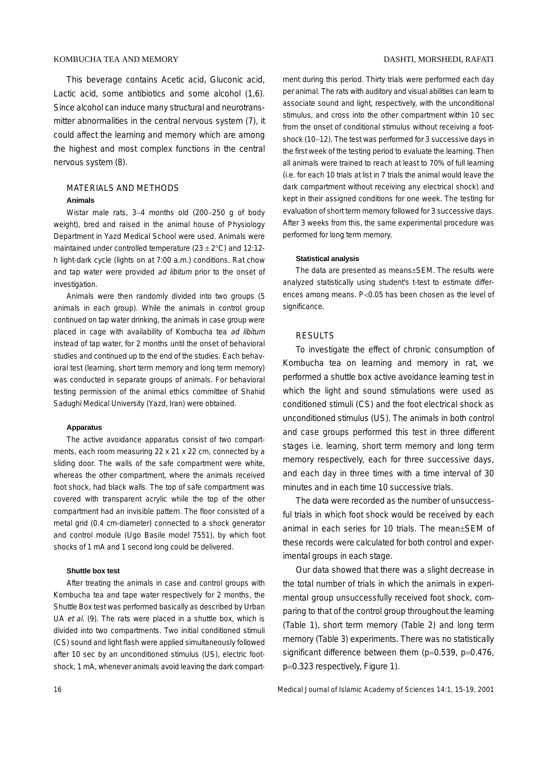This beverage contains Acetic acid, Gluconic acid, Lactic acid, some antibiotics and some alcohol (1,6). Since alcohol can induce many structural and neurotransmitter abnormalities in the central nervous system (7), it could affect the learning and memory which are among the highest and most complex functions in the central nervous system (8).

# MATERIALS AND METHODS **Animals**

Wistar male rats, 3−4 months old (200−250 g of body weight), bred and raised in the animal house of Physiology Department in Yazd Medical School were used. Animals were maintained under controlled temperature ( $23 \pm 2^{\circ}$ C) and 12:12h light-dark cycle (lights on at 7:00 a.m.) conditions. Rat chow and tap water were provided ad libitum prior to the onset of investigation.

Animals were then randomly divided into two groups (5 animals in each group). While the animals in control group continued on tap water drinking, the animals in case group were placed in cage with availability of Kombucha tea ad libitum instead of tap water, for 2 months until the onset of behavioral studies and continued up to the end of the studies. Each behavioral test (learning, short term memory and long term memory) was conducted in separate groups of animals. For behavioral testing permission of the animal ethics committee of Shahid Sadughi Medical University (Yazd, Iran) were obtained.

#### **Apparatus**

The active avoidance apparatus consist of two compartments, each room measuring 22 x 21 x 22 cm, connected by a sliding door. The walls of the safe compartment were white, whereas the other compartment, where the animals received foot shock, had black walls. The top of safe compartment was covered with transparent acrylic while the top of the other compartment had an invisible pattern. The floor consisted of a metal grid (0.4 cm-diameter) connected to a shock generator and control module (Ugo Basile model 7551), by which foot shocks of 1 mA and 1 second long could be delivered.

#### **Shuttle box test**

After treating the animals in case and control groups with Kombucha tea and tape water respectively for 2 months, the Shuttle Box test was performed basically as described by Urban UA et al. (9). The rats were placed in a shuttle box, which is divided into two compartments. Two initial conditioned stimuli (CS) sound and light flash were applied simultaneously followed after 10 sec by an unconditioned stimulus (US), electric footshock, 1 mA, whenever animals avoid leaving the dark compartment during this period. Thirty trials were performed each day per animal. The rats with auditory and visual abilities can learn to associate sound and light, respectively, with the unconditional stimulus, and cross into the other compartment within 10 sec from the onset of conditional stimulus without receiving a footshock (10−12). The test was performed for 3 successive days in the first week of the testing period to evaluate the learning. Then all animals were trained to reach at least to 70% of full learning (i.e. for each 10 trials at list in 7 trials the animal would leave the dark compartment without receiving any electrical shock) and kept in their assigned conditions for one week. The testing for evaluation of short term memory followed for 3 successive days. After 3 weeks from this, the same experimental procedure was performed for long term memory.

### **Statistical analysis**

The data are presented as means±SEM. The results were analyzed statistically using student's t-test to estimate differences among means. P<0.05 has been chosen as the level of significance.

#### RESULTS

To investigate the effect of chronic consumption of Kombucha tea on learning and memory in rat, we performed a shuttle box active avoidance learning test in which the light and sound stimulations were used as conditioned stimuli (CS) and the foot electrical shock as unconditioned stimulus (US). The animals in both control and case groups performed this test in three different stages i.e. learning, short term memory and long term memory respectively, each for three successive days, and each day in three times with a time interval of 30 minutes and in each time 10 successive trials.

The data were recorded as the number of unsuccessful trials in which foot shock would be received by each animal in each series for 10 trials. The mean±SEM of these records were calculated for both control and experimental groups in each stage.

Our data showed that there was a slight decrease in the total number of trials in which the animals in experimental group unsuccessfully received foot shock, comparing to that of the control group throughout the learning (Table 1), short term memory (Table 2) and long term memory (Table 3) experiments. There was no statistically significant difference between them (p=0.539, p=0.476, p=0.323 respectively, Figure 1).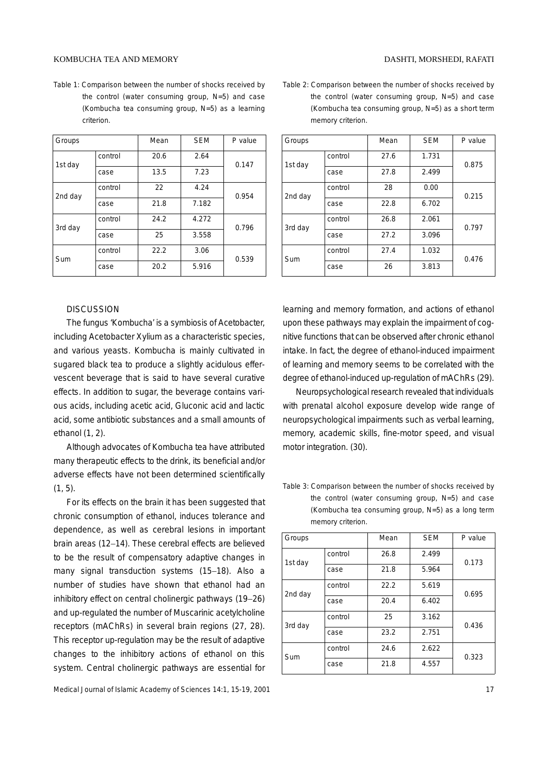#### KOMBUCHA TEA AND MEMORY DASHTI, MORSHEDI, RAFATI

Table 1: Comparison between the number of shocks received by the control (water consuming group, N=5) and case (Kombucha tea consuming group, N=5) as a learning criterion.

| Groups  |         | Mean | <b>SEM</b> | P value |
|---------|---------|------|------------|---------|
| 1st day | control | 20.6 | 2.64       | 0.147   |
|         | case    | 13.5 | 7.23       |         |
| 2nd day | control | 22   | 4.24       | 0.954   |
|         | case    | 21.8 | 7.182      |         |
| 3rd day | control | 24.2 | 4.272      | 0.796   |
|         | case    | 25   | 3.558      |         |
| Sum     | control | 22.2 | 3.06       | 0.539   |
|         | case    | 20.2 | 5.916      |         |

# **DISCUSSION**

The fungus 'Kombucha' is a symbiosis of Acetobacter, including Acetobacter Xylium as a characteristic species, and various yeasts. Kombucha is mainly cultivated in sugared black tea to produce a slightly acidulous effervescent beverage that is said to have several curative effects. In addition to sugar, the beverage contains various acids, including acetic acid, Gluconic acid and lactic acid, some antibiotic substances and a small amounts of ethanol (1, 2).

Although advocates of Kombucha tea have attributed many therapeutic effects to the drink, its beneficial and/or adverse effects have not been determined scientifically  $(1, 5)$ .

For its effects on the brain it has been suggested that chronic consumption of ethanol, induces tolerance and dependence, as well as cerebral lesions in important brain areas (12−14). These cerebral effects are believed to be the result of compensatory adaptive changes in many signal transduction systems (15−18). Also a number of studies have shown that ethanol had an inhibitory effect on central cholinergic pathways (19−26) and up-regulated the number of Muscarinic acetylcholine receptors (mAChRs) in several brain regions (27, 28). This receptor up-regulation may be the result of adaptive changes to the inhibitory actions of ethanol on this system. Central cholinergic pathways are essential for

Table 2: Comparison between the number of shocks received by the control (water consuming group, N=5) and case (Kombucha tea consuming group, N=5) as a short term memory criterion.

| Groups  |         | Mean | <b>SEM</b> | P value |
|---------|---------|------|------------|---------|
| 1st day | control | 27.6 | 1.731      | 0.875   |
|         | case    | 27.8 | 2.499      |         |
| 2nd day | control | 28   | 0.00       | 0.215   |
|         | case    | 22.8 | 6.702      |         |
| 3rd day | control | 26.8 | 2.061      | 0.797   |
|         | case    | 27.2 | 3.096      |         |
| Sum     | control | 27.4 | 1.032      | 0.476   |
|         | case    | 26   | 3.813      |         |

learning and memory formation, and actions of ethanol upon these pathways may explain the impairment of cognitive functions that can be observed after chronic ethanol intake. In fact, the degree of ethanol-induced impairment of learning and memory seems to be correlated with the degree of ethanol-induced up-regulation of mAChRs (29).

Neuropsychological research revealed that individuals with prenatal alcohol exposure develop wide range of neuropsychological impairments such as verbal learning, memory, academic skills, fine-motor speed, and visual motor integration. (30).

Table 3: Comparison between the number of shocks received by the control (water consuming group, N=5) and case (Kombucha tea consuming group, N=5) as a long term memory criterion.

| Groups  |         | Mean | <b>SEM</b> | P value |
|---------|---------|------|------------|---------|
| 1st day | control | 26.8 | 2.499      | 0.173   |
|         | case    | 21.8 | 5.964      |         |
| 2nd day | control | 22.2 | 5.619      | 0.695   |
|         | case    | 20.4 | 6.402      |         |
| 3rd day | control | 25   | 3.162      | 0.436   |
|         | case    | 23.2 | 2.751      |         |
| Sum     | control | 24.6 | 2.622      | 0.323   |
|         | case    | 21.8 | 4.557      |         |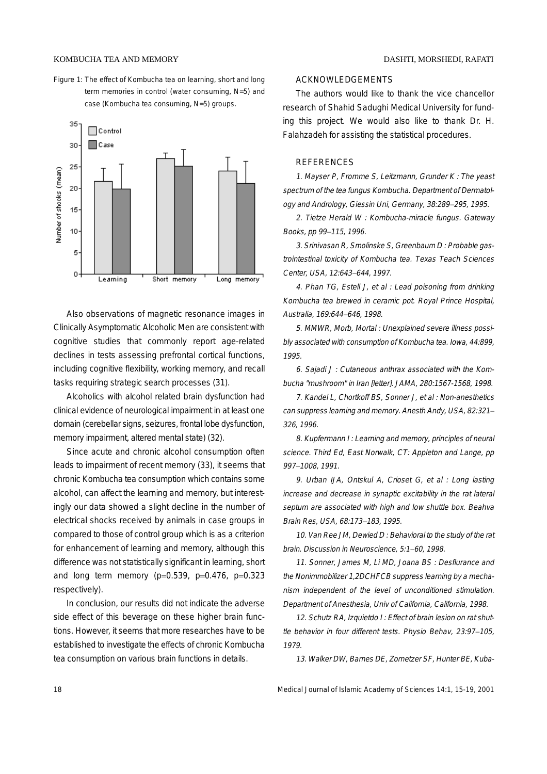Figure 1: The effect of Kombucha tea on learning, short and long term memories in control (water consuming, N=5) and case (Kombucha tea consuming, N=5) groups.



Also observations of magnetic resonance images in Clinically Asymptomatic Alcoholic Men are consistent with cognitive studies that commonly report age-related declines in tests assessing prefrontal cortical functions, including cognitive flexibility, working memory, and recall tasks requiring strategic search processes (31).

Alcoholics with alcohol related brain dysfunction had clinical evidence of neurological impairment in at least one domain (cerebellar signs, seizures, frontal lobe dysfunction, memory impairment, altered mental state) (32).

Since acute and chronic alcohol consumption often leads to impairment of recent memory (33), it seems that chronic Kombucha tea consumption which contains some alcohol, can affect the learning and memory, but interestingly our data showed a slight decline in the number of electrical shocks received by animals in case groups in compared to those of control group which is as a criterion for enhancement of learning and memory, although this difference was not statistically significant in learning, short and long term memory ( $p=0.539$ ,  $p=0.476$ ,  $p=0.323$ respectively).

In conclusion, our results did not indicate the adverse side effect of this beverage on these higher brain functions. However, it seems that more researches have to be established to investigate the effects of chronic Kombucha tea consumption on various brain functions in details.

## ACKNOWLEDGEMENTS

The authors would like to thank the vice chancellor research of Shahid Sadughi Medical University for funding this project. We would also like to thank Dr. H. Falahzadeh for assisting the statistical procedures.

#### REFERENCES

1. Mayser P, Fromme S, Leitzmann, Grunder K : The yeast spectrum of the tea fungus Kombucha. Department of Dermatology and Andrology, Giessin Uni, Germany, 38:289−295, 1995.

2. Tietze Herald W : Kombucha-miracle fungus. Gateway Books, pp 99−115, 1996.

3. Srinivasan R, Smolinske S, Greenbaum D : Probable gastrointestinal toxicity of Kombucha tea. Texas Teach Sciences Center, USA, 12:643−644, 1997.

4. Phan TG, Estell J, et al : Lead poisoning from drinking Kombucha tea brewed in ceramic pot. Royal Prince Hospital, Australia, 169:644−646, 1998.

5. MMWR, Morb, Mortal : Unexplained severe illness possibly associated with consumption of Kombucha tea. Iowa, 44:899, 1995.

6. Sajadi J : Cutaneous anthrax associated with the Kombucha "mushroom" in Iran [letter]. JAMA, 280:1567-1568, 1998.

7. Kandel L, Chortkoff BS, Sonner J, et al : Non-anesthetics can suppress learning and memory. Anesth Andy, USA, 82:321<sup>−</sup> 326, 1996.

8. Kupfermann I : Learning and memory, principles of neural science. Third Ed, East Norwalk, CT: Appleton and Lange, pp 997−1008, 1991.

9. Urban IJA, Ontskul A, Crioset G, et al : Long lasting increase and decrease in synaptic excitability in the rat lateral septum are associated with high and low shuttle box. Beahva Brain Res, USA, 68:173−183, 1995.

10. Van Ree JM, Dewied D : Behavioral to the study of the rat brain. Discussion in Neuroscience, 5:1−60, 1998.

11. Sonner, James M, Li MD, Joana BS : Desflurance and the Nonimmobilizer 1,2DCHFCB suppress learning by a mechanism independent of the level of unconditioned stimulation. Department of Anesthesia, Univ of California, California, 1998.

12. Schutz RA, Izquietdo I: Effect of brain lesion on rat shuttle behavior in four different tests. Physio Behav, 23:97−105, 1979.

13. Walker DW, Barnes DE, Zornetzer SF, Hunter BE, Kuba-

18 Medical Journal of Islamic Academy of Sciences 14:1, 15-19, 2001